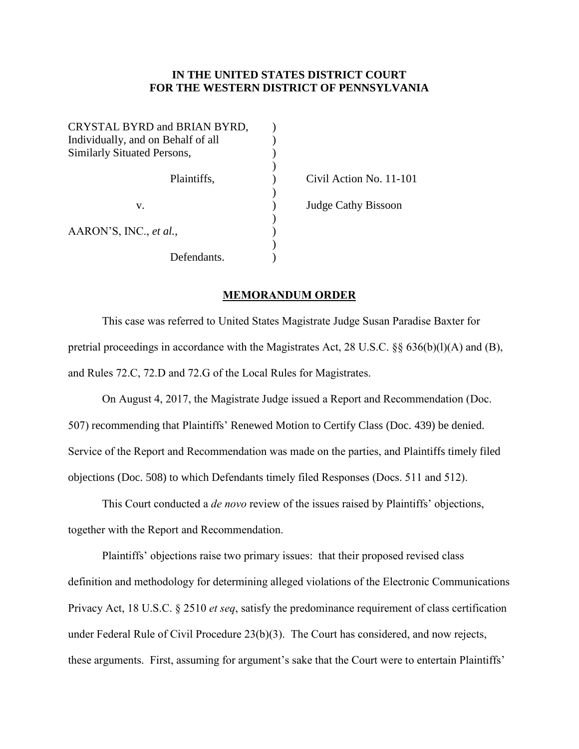## **IN THE UNITED STATES DISTRICT COURT FOR THE WESTERN DISTRICT OF PENNSYLVANIA**

| CRYSTAL BYRD and BRIAN BYRD,       |  |
|------------------------------------|--|
| Individually, and on Behalf of all |  |
| Similarly Situated Persons,        |  |
|                                    |  |
| Plaintiffs,                        |  |
|                                    |  |
| V.                                 |  |
|                                    |  |
| AARON'S, INC., et al.,             |  |
|                                    |  |
| Defendants.                        |  |

Civil Action No. 11-101 Judge Cathy Bissoon

## **MEMORANDUM ORDER**

This case was referred to United States Magistrate Judge Susan Paradise Baxter for pretrial proceedings in accordance with the Magistrates Act, 28 U.S.C.  $\S$  636(b)(l)(A) and (B), and Rules 72.C, 72.D and 72.G of the Local Rules for Magistrates.

On August 4, 2017, the Magistrate Judge issued a Report and Recommendation (Doc. 507) recommending that Plaintiffs' Renewed Motion to Certify Class (Doc. 439) be denied. Service of the Report and Recommendation was made on the parties, and Plaintiffs timely filed objections (Doc. 508) to which Defendants timely filed Responses (Docs. 511 and 512).

This Court conducted a *de novo* review of the issues raised by Plaintiffs' objections, together with the Report and Recommendation.

Plaintiffs' objections raise two primary issues: that their proposed revised class definition and methodology for determining alleged violations of the Electronic Communications Privacy Act, 18 U.S.C. § 2510 *et seq*, satisfy the predominance requirement of class certification under Federal Rule of Civil Procedure 23(b)(3). The Court has considered, and now rejects, these arguments. First, assuming for argument's sake that the Court were to entertain Plaintiffs'